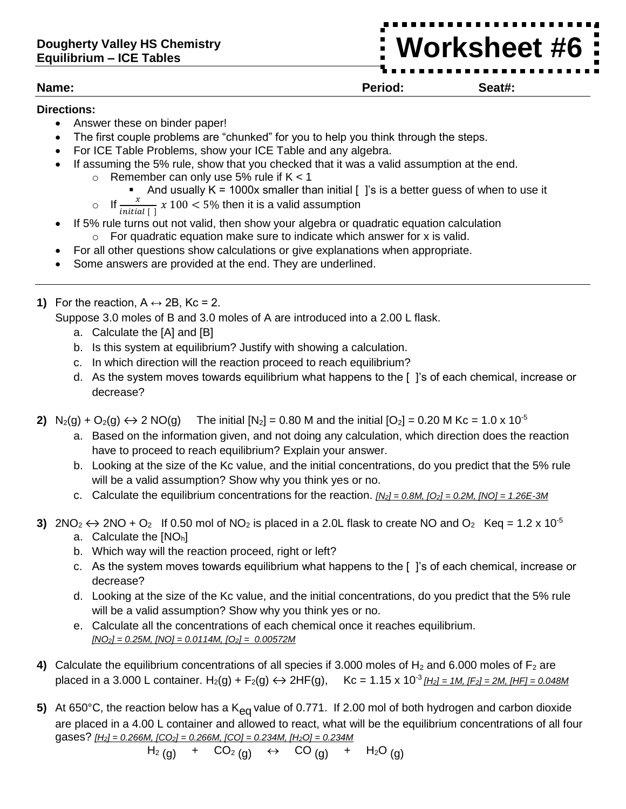## **Dougherty Valley HS Chemistry Equilibrium – ICE Tables**

**Worksheet #6**

## **Directions:**

- Answer these on binder paper!
- The first couple problems are "chunked" for you to help you think through the steps.
- For ICE Table Problems, show your ICE Table and any algebra.
- If assuming the 5% rule, show that you checked that it was a valid assumption at the end.
	- $\circ$  Remember can only use 5% rule if K < 1
		- And usually  $K = 1000x$  smaller than initial  $\left[\right]$  is is a better guess of when to use it

o If  $\frac{x}{initial \mid x}$  100 < 5% then it is a valid assumption

- If 5% rule turns out not valid, then show your algebra or quadratic equation calculation  $\circ$  For quadratic equation make sure to indicate which answer for x is valid.
- For all other questions show calculations or give explanations when appropriate.
- Some answers are provided at the end. They are underlined.
- **1)** For the reaction,  $A \leftrightarrow 2B$ , Kc = 2.
	- Suppose 3.0 moles of B and 3.0 moles of A are introduced into a 2.00 L flask.
		- a. Calculate the [A] and [B]
		- b. Is this system at equilibrium? Justify with showing a calculation.
		- c. In which direction will the reaction proceed to reach equilibrium?
		- d. As the system moves towards equilibrium what happens to the [ ]'s of each chemical, increase or decrease?
- **2)**  $N_2(g) + O_2(g) \leftrightarrow 2 \text{ NO}(g)$  The initial  $[N_2] = 0.80 \text{ M}$  and the initial  $[O_2] = 0.20 \text{ M}$  Kc = 1.0 x 10<sup>-5</sup>
	- a. Based on the information given, and not doing any calculation, which direction does the reaction have to proceed to reach equilibrium? Explain your answer.
	- b. Looking at the size of the Kc value, and the initial concentrations, do you predict that the 5% rule will be a valid assumption? Show why you think yes or no.
	- c. Calculate the equilibrium concentrations for the reaction. *[N2] = 0.8M, [O2] = 0.2M, [NO] = 1.26E-3M*
- **3)**  $2NO_2 \leftrightarrow 2NO + O_2$  If 0.50 mol of NO<sub>2</sub> is placed in a 2.0L flask to create NO and O<sub>2</sub> Keq = 1.2 x 10<sup>-5</sup> a. Calculate the  $[NO<sub>h</sub>]$ 
	- b. Which way will the reaction proceed, right or left?
	- c. As the system moves towards equilibrium what happens to the [ ]'s of each chemical, increase or decrease?
	- d. Looking at the size of the Kc value, and the initial concentrations, do you predict that the 5% rule will be a valid assumption? Show why you think yes or no.
	- e. Calculate all the concentrations of each chemical once it reaches equilibrium. *[NO2] = 0.25M, [NO] = 0.0114M, [O2] = 0.00572M*
- **4)** Calculate the equilibrium concentrations of all species if 3.000 moles of  $H_2$  and 6.000 moles of  $F_2$  are placed in a 3.000 L container. H<sub>2</sub>(g) + F<sub>2</sub>(g) ↔ 2HF(g), Kc = 1.15 x 10<sup>-3</sup> [H<sub>2</sub>] = 1M, [F<sub>2</sub>] = 2M, [HF] = 0.048M
- 5) At 650°C, the reaction below has a K<sub>eq</sub> value of 0.771. If 2.00 mol of both hydrogen and carbon dioxide are placed in a 4.00 L container and allowed to react, what will be the equilibrium concentrations of all four gases? *[H2] = 0.266M, [CO2] = 0.266M, [CO] = 0.234M, [H2O] = 0.234M*

$$
H_2(g)
$$
 + CO<sub>2</sub>(g)  $\leftrightarrow$  CO(g) + H<sub>2</sub>O(g)

$$
\overline{\phantom{0}}
$$